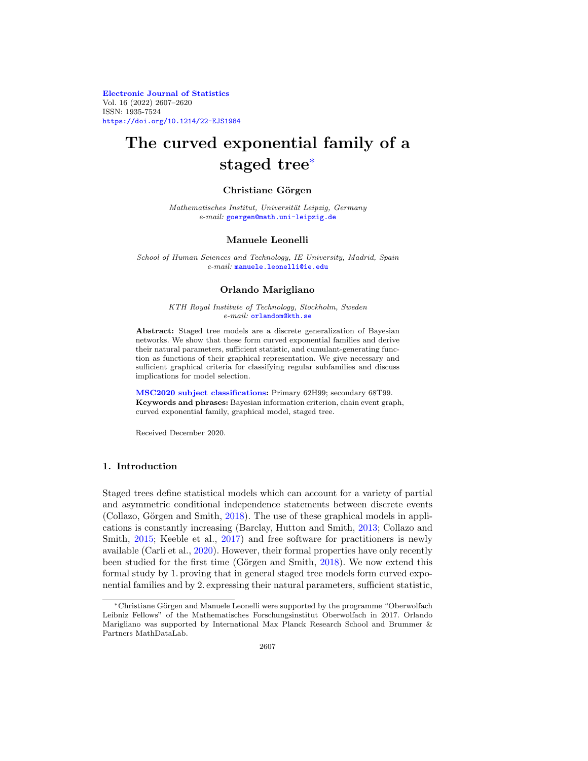**[Electronic Journal of Statistics](https://imstat.org/journals-and-publications/electronic-journal-of-statistics/)** Vol. 16 (2022) 2607–2620 ISSN: 1935-7524 <https://doi.org/10.1214/22-EJS1984>

# **The curved exponential family of a staged tree**[∗](#page-0-0)

## **Christiane G¨orgen**

Mathematisches Institut, Universität Leipzig, Germany e-mail: [goergen@math.uni-leipzig.de](mailto:goergen@math.uni-leipzig.de)

#### **Manuele Leonelli**

School of Human Sciences and Technology, IE University, Madrid, Spain e-mail: [manuele.leonelli@ie.edu](mailto:manuele.leonelli@ie.edu)

## **Orlando Marigliano**

KTH Royal Institute of Technology, Stockholm, Sweden e-mail: [orlandom@kth.se](mailto:orlandom@kth.se)

**Abstract:** Staged tree models are a discrete generalization of Bayesian networks. We show that these form curved exponential families and derive their natural parameters, sufficient statistic, and cumulant-generating function as functions of their graphical representation. We give necessary and sufficient graphical criteria for classifying regular subfamilies and discuss implications for model selection.

**[MSC2020 subject classifications:](https://mathscinet.ams.org/mathscinet/msc/msc2020.html)** Primary 62H99; secondary 68T99. **Keywords and phrases:** Bayesian information criterion, chain event graph, curved exponential family, graphical model, staged tree.

Received December 2020.

## **1. Introduction**

Staged trees define statistical models which can account for a variety of partial and asymmetric conditional independence statements between discrete events (Collazo, Görgen and Smith,  $2018$ ). The use of these graphical models in applications is constantly increasing (Barclay, Hutton and Smith, [2013](#page-12-1); Collazo and Smith, [2015;](#page-12-2) Keeble et al., [2017\)](#page-13-0) and free software for practitioners is newly available (Carli et al., [2020\)](#page-12-3). However, their formal properties have only recently been studied for the first time (Görgen and Smith, [2018](#page-13-1)). We now extend this formal study by 1. proving that in general staged tree models form curved exponential families and by 2. expressing their natural parameters, sufficient statistic,

<span id="page-0-0"></span><sup>∗</sup>Christiane G¨orgen and Manuele Leonelli were supported by the programme "Oberwolfach Leibniz Fellows" of the Mathematisches Forschungsinstitut Oberwolfach in 2017. Orlando Marigliano was supported by International Max Planck Research School and Brummer & Partners MathDataLab.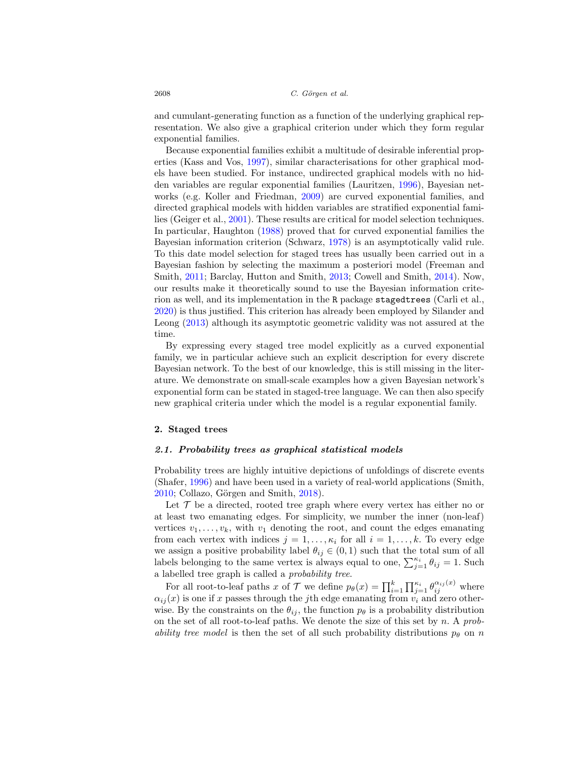and cumulant-generating function as a function of the underlying graphical representation. We also give a graphical criterion under which they form regular exponential families.

Because exponential families exhibit a multitude of desirable inferential properties (Kass and Vos, [1997](#page-13-2)), similar characterisations for other graphical models have been studied. For instance, undirected graphical models with no hidden variables are regular exponential families (Lauritzen, [1996\)](#page-13-3), Bayesian networks (e.g. Koller and Friedman, [2009\)](#page-13-4) are curved exponential families, and directed graphical models with hidden variables are stratified exponential families (Geiger et al., [2001\)](#page-13-5). These results are critical for model selection techniques. In particular, Haughton [\(1988\)](#page-13-6) proved that for curved exponential families the Bayesian information criterion (Schwarz, [1978\)](#page-13-7) is an asymptotically valid rule. To this date model selection for staged trees has usually been carried out in a Bayesian fashion by selecting the maximum a posteriori model (Freeman and Smith, [2011;](#page-12-4) Barclay, Hutton and Smith, [2013;](#page-12-1) Cowell and Smith, [2014](#page-12-5)). Now, our results make it theoretically sound to use the Bayesian information criterion as well, and its implementation in the R package stagedtrees (Carli et al., [2020\)](#page-12-3) is thus justified. This criterion has already been employed by Silander and Leong [\(2013\)](#page-13-8) although its asymptotic geometric validity was not assured at the time.

By expressing every staged tree model explicitly as a curved exponential family, we in particular achieve such an explicit description for every discrete Bayesian network. To the best of our knowledge, this is still missing in the literature. We demonstrate on small-scale examples how a given Bayesian network's exponential form can be stated in staged-tree language. We can then also specify new graphical criteria under which the model is a regular exponential family.

## <span id="page-1-1"></span><span id="page-1-0"></span>**2. Staged trees**

#### *2.1. Probability trees as graphical statistical models*

Probability trees are highly intuitive depictions of unfoldings of discrete events (Shafer, [1996](#page-13-9)) and have been used in a variety of real-world applications (Smith,  $2010$ ; Collazo, Görgen and Smith,  $2018$ ).

Let  $\mathcal T$  be a directed, rooted tree graph where every vertex has either no or at least two emanating edges. For simplicity, we number the inner (non-leaf) vertices  $v_1, \ldots, v_k$ , with  $v_1$  denoting the root, and count the edges emanating from each vertex with indices  $j = 1, \ldots, \kappa_i$  for all  $i = 1, \ldots, k$ . To every edge we assign a positive probability label  $\theta_{ij} \in (0,1)$  such that the total sum of all labels belonging to the same vertex is always equal to one,  $\sum_{j=1}^{\kappa_i} \theta_{ij} = 1$ . Such a labelled tree graph is called a probability tree.

For all root-to-leaf paths x of  $\mathcal T$  we define  $p_\theta(x) = \prod_{i=1}^k \prod_{j=1}^{\kappa_i} \theta_{ij}^{\alpha_{ij}(x)}$  where  $\alpha_{ij}(x)$  is one if x passes through the jth edge emanating from  $v_i$  and zero otherwise. By the constraints on the  $\theta_{ij}$ , the function  $p_{\theta}$  is a probability distribution on the set of all root-to-leaf paths. We denote the size of this set by  $n$ . A probability tree model is then the set of all such probability distributions  $p_{\theta}$  on n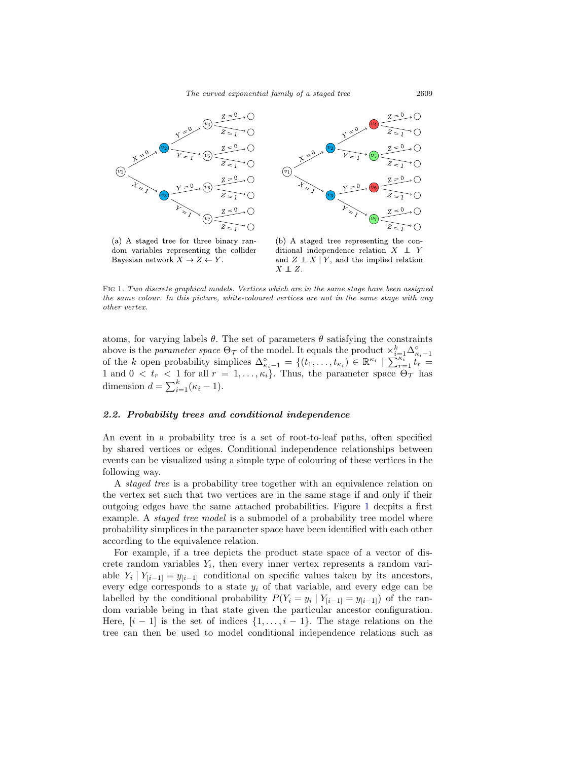

(a) A staged tree for three binary random variables representing the collider Bayesian network  $X \to Z \leftarrow Y$ .

(b) A staged tree representing the conditional independence relation  $X \perp Y$ and  $Z \perp X | Y$ , and the implied relation  $X \perp\!\!\!\perp Z.$ 

<span id="page-2-0"></span>Fig 1. Two discrete graphical models. Vertices which are in the same stage have been assigned the same colour. In this picture, white-coloured vertices are not in the same stage with any other vertex.

atoms, for varying labels  $\theta$ . The set of parameters  $\theta$  satisfying the constraints above is the parameter space  $\Theta_{\mathcal{T}}$  of the model. It equals the product  $\times_{k=1}^{k} \Delta_{\kappa_{i}-1}^{\circ}$  of the k open probability simplices  $\Delta_{\kappa_{i}-1}^{\circ} = \{(t_1,\ldots,t_{\kappa_i}) \in \mathbb{R}^{\kappa_i} \mid \sum_{r=1}^{\kappa_i} t_r =$ 1 and  $0 < t_r < 1$  for all  $r = 1, \ldots, \kappa_i$ . Thus, the parameter space  $\Theta_{\mathcal{T}}$  has dimension  $d = \sum_{i=1}^{k} (\kappa_i - 1)$ .

#### <span id="page-2-1"></span>*2.2. Probability trees and conditional independence*

An event in a probability tree is a set of root-to-leaf paths, often specified by shared vertices or edges. Conditional independence relationships between events can be visualized using a simple type of colouring of these vertices in the following way.

A staged tree is a probability tree together with an equivalence relation on the vertex set such that two vertices are in the same stage if and only if their outgoing edges have the same attached probabilities. Figure [1](#page-2-0) decpits a first example. A *staged tree model* is a submodel of a probability tree model where probability simplices in the parameter space have been identified with each other according to the equivalence relation.

For example, if a tree depicts the product state space of a vector of discrete random variables  $Y_i$ , then every inner vertex represents a random variable  $Y_i | Y_{[i-1]} = y_{[i-1]}$  conditional on specific values taken by its ancestors, every edge corresponds to a state  $y_i$  of that variable, and every edge can be labelled by the conditional probability  $P(Y_i = y_i | Y_{[i-1]} = y_{[i-1]})$  of the random variable being in that state given the particular ancestor configuration. Here,  $[i - 1]$  is the set of indices  $\{1, \ldots, i - 1\}$ . The stage relations on the tree can then be used to model conditional independence relations such as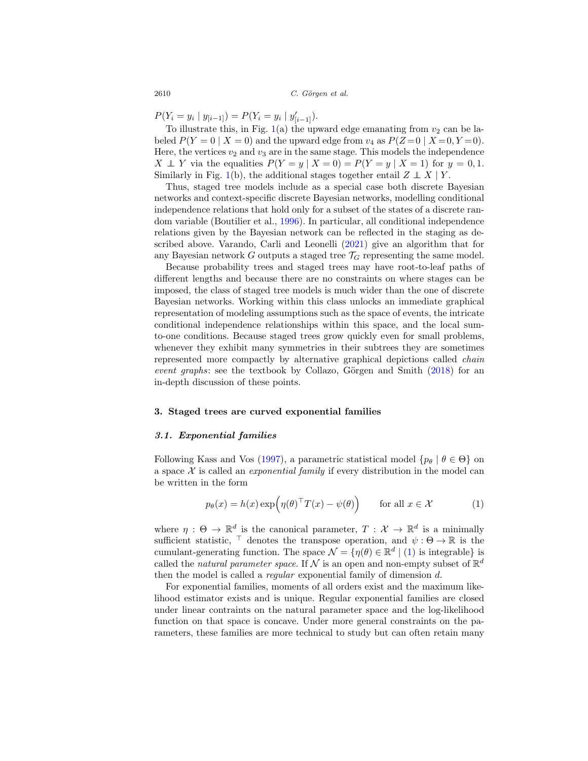$P(Y_i = y_i | y_{[i-1]}) = P(Y_i = y_i | y'_{[i-1]})$ .

To illustrate this, in Fig.  $1(a)$  $1(a)$  the upward edge emanating from  $v_2$  can be labeled  $P(Y=0 | X=0)$  and the upward edge from  $v_4$  as  $P(Z=0 | X=0, Y=0)$ . Here, the vertices  $v_2$  and  $v_3$  are in the same stage. This models the independence  $X \perp Y$  via the equalities  $P(Y = y | X = 0) = P(Y = y | X = 1)$  for  $y = 0, 1$ . Similarly in Fig. [1\(](#page-2-0)b), the additional stages together entail  $Z \perp X \mid Y$ .

Thus, staged tree models include as a special case both discrete Bayesian networks and context-specific discrete Bayesian networks, modelling conditional independence relations that hold only for a subset of the states of a discrete random variable (Boutilier et al., [1996\)](#page-12-6). In particular, all conditional independence relations given by the Bayesian network can be reflected in the staging as described above. Varando, Carli and Leonelli [\(2021](#page-13-11)) give an algorithm that for any Bayesian network G outputs a staged tree  $\mathcal{T}_G$  representing the same model.

Because probability trees and staged trees may have root-to-leaf paths of different lengths and because there are no constraints on where stages can be imposed, the class of staged tree models is much wider than the one of discrete Bayesian networks. Working within this class unlocks an immediate graphical representation of modeling assumptions such as the space of events, the intricate conditional independence relationships within this space, and the local sumto-one conditions. Because staged trees grow quickly even for small problems, whenever they exhibit many symmetries in their subtrees they are sometimes represented more compactly by alternative graphical depictions called chain event graphs: see the textbook by Collazo, Görgen and Smith  $(2018)$  for an in-depth discussion of these points.

#### **3. Staged trees are curved exponential families**

#### *3.1. Exponential families*

Following Kass and Vos [\(1997\)](#page-13-2), a parametric statistical model  $\{p_\theta | \theta \in \Theta\}$  on a space  $X$  is called an *exponential family* if every distribution in the model can be written in the form

<span id="page-3-0"></span>
$$
p_{\theta}(x) = h(x) \exp\left(\eta(\theta)^{\top} T(x) - \psi(\theta)\right) \quad \text{for all } x \in \mathcal{X}
$$
 (1)

where  $\eta : \Theta \to \mathbb{R}^d$  is the canonical parameter,  $T : \mathcal{X} \to \mathbb{R}^d$  is a minimally sufficient statistic,  $\top$  denotes the transpose operation, and  $\psi : \Theta \to \mathbb{R}$  is the cumulant-generating function. The space  $\mathcal{N} = \{ \eta(\theta) \in \mathbb{R}^d \mid (1) \text{ is integrable} \}$  $\mathcal{N} = \{ \eta(\theta) \in \mathbb{R}^d \mid (1) \text{ is integrable} \}$  $\mathcal{N} = \{ \eta(\theta) \in \mathbb{R}^d \mid (1) \text{ is integrable} \}$  is called the natural parameter space. If N is an open and non-empty subset of  $\mathbb{R}^d$ then the model is called a *regular* exponential family of dimension d.

For exponential families, moments of all orders exist and the maximum likelihood estimator exists and is unique. Regular exponential families are closed under linear contraints on the natural parameter space and the log-likelihood function on that space is concave. Under more general constraints on the parameters, these families are more technical to study but can often retain many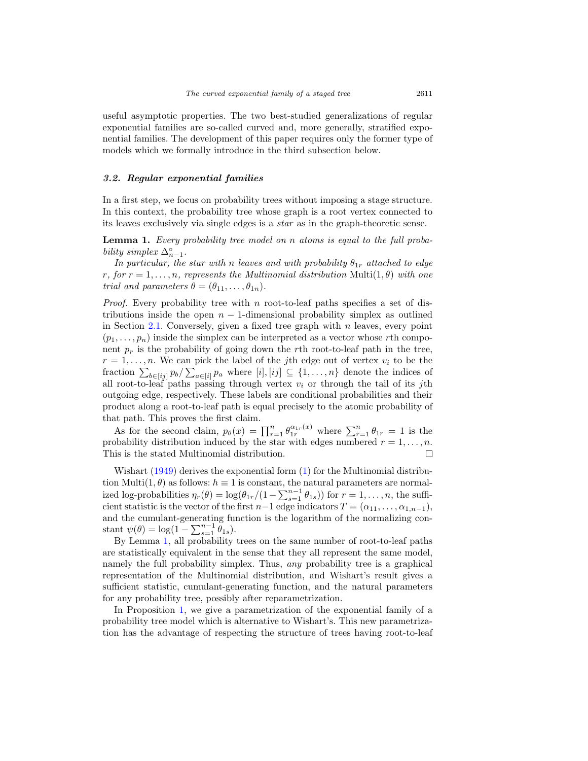useful asymptotic properties. The two best-studied generalizations of regular exponential families are so-called curved and, more generally, stratified exponential families. The development of this paper requires only the former type of models which we formally introduce in the third subsection below.

## *3.2. Regular exponential families*

In a first step, we focus on probability trees without imposing a stage structure. In this context, the probability tree whose graph is a root vertex connected to its leaves exclusively via single edges is a star as in the graph-theoretic sense.

<span id="page-4-0"></span>**Lemma 1.** Every probability tree model on n atoms is equal to the full probability simplex  $\Delta_{n-1}^{\circ}$ .

In particular, the star with n leaves and with probability  $\theta_{1r}$  attached to edge r, for  $r = 1, \ldots, n$ , represents the Multinomial distribution Multi $(1, \theta)$  with one trial and parameters  $\theta = (\theta_{11}, \ldots, \theta_{1n}).$ 

*Proof.* Every probability tree with n root-to-leaf paths specifies a set of distributions inside the open  $n-1$ -dimensional probability simplex as outlined in Section [2.1.](#page-1-0) Conversely, given a fixed tree graph with  $n$  leaves, every point  $(p_1,\ldots,p_n)$  inside the simplex can be interpreted as a vector whose rth component  $p_r$  is the probability of going down the rth root-to-leaf path in the tree,  $r = 1, \ldots, n$ . We can pick the label of the jth edge out of vertex  $v_i$  to be the fraction  $\sum_{b \in [i]} p_b / \sum_{a \in [i]} p_a$  where  $[i], [ij] \subseteq \{1, \ldots, n\}$  denote the indices of all root-to-leaf paths passing through vertex  $v_i$  or through the tail of its jth outgoing edge, respectively. These labels are conditional probabilities and their product along a root-to-leaf path is equal precisely to the atomic probability of that path. This proves the first claim.

As for the second claim,  $p_{\theta}(x) = \prod_{r=1}^{n} \theta_{1r}^{\alpha_{1r}(x)}$  where  $\sum_{r=1}^{n} \theta_{1r} = 1$  is the probability distribution induced by the star with edges numbered  $r = 1, \ldots, n$ . This is the stated Multinomial distribution.  $\Box$ 

Wishart  $(1949)$  $(1949)$  derives the exponential form  $(1)$  for the Multinomial distribution Multi $(1, \theta)$  as follows:  $h \equiv 1$  is constant, the natural parameters are normalized log-probabilities  $\eta_r(\theta) = \log(\theta_{1r}/(1 - \sum_{s=1}^{n-1} \theta_{1s}))$  for  $r = 1, \ldots, n$ , the sufficient statistic is the vector of the first  $n-1$  edge indicators  $T = (\alpha_{11}, \ldots, \alpha_{1,n-1}),$ and the cumulant-generating function is the logarithm of the normalizing constant  $\psi(\theta) = \log(1 - \sum_{s=1}^{n-1} \tilde{\theta}_{1s}).$ 

By Lemma [1,](#page-4-0) all probability trees on the same number of root-to-leaf paths are statistically equivalent in the sense that they all represent the same model, namely the full probability simplex. Thus, any probability tree is a graphical representation of the Multinomial distribution, and Wishart's result gives a sufficient statistic, cumulant-generating function, and the natural parameters for any probability tree, possibly after reparametrization.

In Proposition [1,](#page-5-0) we give a parametrization of the exponential family of a probability tree model which is alternative to Wishart's. This new parametrization has the advantage of respecting the structure of trees having root-to-leaf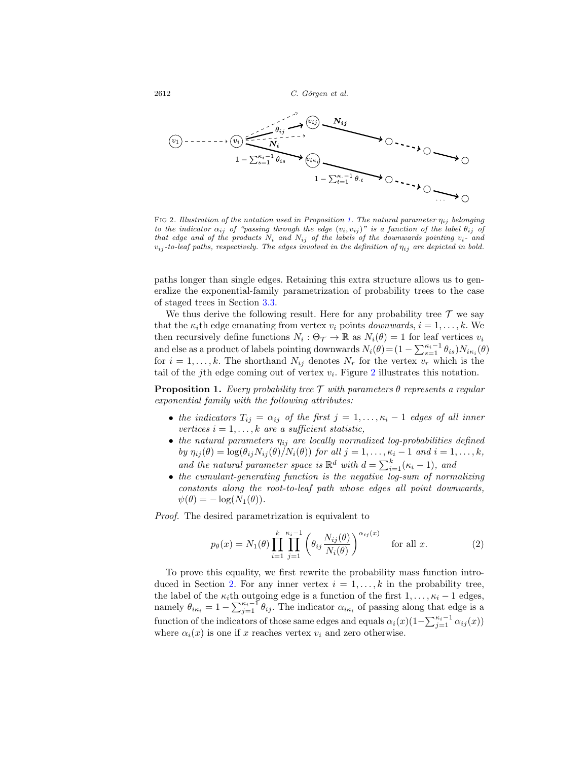

<span id="page-5-1"></span>FIG 2. Illustration of the notation used in Proposition [1.](#page-5-0) The natural parameter  $\eta_{ij}$  belonging to the indicator  $\alpha_{ij}$  of "passing through the edge  $(v_i, v_{ij})$ " is a function of the label  $\theta_{ij}$  of that edge and of the products  $N_i$  and  $N_{ij}$  of the labels of the downwards pointing  $v_i$ - and  $v_{ij}$ -to-leaf paths, respectively. The edges involved in the definition of  $\eta_{ij}$  are depicted in bold.

paths longer than single edges. Retaining this extra structure allows us to generalize the exponential-family parametrization of probability trees to the case of staged trees in Section [3.3.](#page-7-0)

We thus derive the following result. Here for any probability tree  $\mathcal T$  we say that the  $\kappa_i$ th edge emanating from vertex  $v_i$  points *downwards*,  $i = 1, \ldots, k$ . We then recursively define functions  $N_i : \Theta_{\mathcal{T}} \to \mathbb{R}$  as  $N_i(\theta) = 1$  for leaf vertices  $v_i$ and else as a product of labels pointing downwards  $N_i(\theta) = (1 - \sum_{s=1}^{\kappa_i-1} \theta_{is})N_{i\kappa_i}(\theta)$ for  $i = 1, \ldots, k$ . The shorthand  $N_{ij}$  denotes  $N_r$  for the vertex  $v_r$  which is the tail of the j<sup>th</sup> edge coming out of vertex  $v_i$ . Figure [2](#page-5-1) illustrates this notation.

<span id="page-5-0"></span>**Proposition 1.** Every probability tree  $\mathcal T$  with parameters  $\theta$  represents a regular exponential family with the following attributes:

- the indicators  $T_{ij} = \alpha_{ij}$  of the first  $j = 1, \ldots, \kappa_i 1$  edges of all inner vertices  $i = 1, \ldots, k$  are a sufficient statistic,
- the natural parameters  $\eta_{ij}$  are locally normalized log-probabilities defined by  $\eta_{ij}(\theta) = \log(\theta_{ij} N_{ij}(\theta)/N_i(\theta))$  for all  $j = 1, \ldots, \kappa_i - 1$  and  $i = 1, \ldots, k$ , and the natural parameter space is  $\mathbb{R}^d$  with  $d = \sum_{i=1}^k (\kappa_i - 1)$ , and
- the cumulant-generating function is the negative log-sum of normalizing constants along the root-to-leaf path whose edges all point downwards,  $\psi(\theta) = -\log(N_1(\theta)).$

Proof. The desired parametrization is equivalent to

<span id="page-5-2"></span>
$$
p_{\theta}(x) = N_1(\theta) \prod_{i=1}^{k} \prod_{j=1}^{\kappa_i - 1} \left( \theta_{ij} \frac{N_{ij}(\theta)}{N_i(\theta)} \right)^{\alpha_{ij}(x)} \quad \text{for all } x.
$$
 (2)

To prove this equality, we first rewrite the probability mass function intro-duced in Section [2.](#page-1-1) For any inner vertex  $i = 1, \ldots, k$  in the probability tree, the label of the  $\kappa_i$ th outgoing edge is a function of the first  $1,\ldots,\kappa_i-1$  edges, namely  $\theta_{i\kappa_i} = 1 - \sum_{j=1}^{\kappa_i-1} \theta_{ij}$ . The indicator  $\alpha_{i\kappa_i}$  of passing along that edge is a function of the indicators of those same edges and equals  $\alpha_i(x)(1-\sum_{j=1}^{\kappa_i-1}\alpha_{ij}(x))$ where  $\alpha_i(x)$  is one if x reaches vertex  $v_i$  and zero otherwise.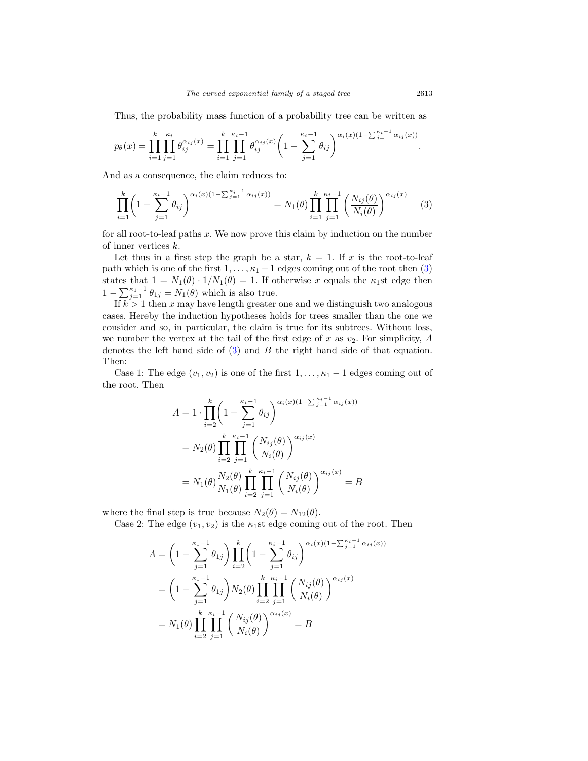Thus, the probability mass function of a probability tree can be written as

$$
p_{\theta}(x) = \prod_{i=1}^{k} \prod_{j=1}^{\kappa_i} \theta_{ij}^{\alpha_{ij}(x)} = \prod_{i=1}^{k} \prod_{j=1}^{\kappa_i-1} \theta_{ij}^{\alpha_{ij}(x)} \left(1 - \sum_{j=1}^{\kappa_i-1} \theta_{ij}\right)^{\alpha_i(x)(1 - \sum_{j=1}^{\kappa_i-1} \alpha_{ij}(x))}.
$$

And as a consequence, the claim reduces to:

<span id="page-6-0"></span>
$$
\prod_{i=1}^{k} \left(1 - \sum_{j=1}^{\kappa_i - 1} \theta_{ij}\right)^{\alpha_i(x)(1 - \sum_{j=1}^{\kappa_i - 1} \alpha_{ij}(x))} = N_1(\theta) \prod_{i=1}^{k} \prod_{j=1}^{\kappa_i - 1} \left(\frac{N_{ij}(\theta)}{N_i(\theta)}\right)^{\alpha_{ij}(x)} \tag{3}
$$

for all root-to-leaf paths  $x$ . We now prove this claim by induction on the number of inner vertices k.

Let thus in a first step the graph be a star,  $k = 1$ . If x is the root-to-leaf path which is one of the first  $1, \ldots, \kappa_1 - 1$  edges coming out of the root then [\(3\)](#page-6-0) states that  $1 = N_1(\theta) \cdot 1/N_1(\theta) = 1$ . If otherwise x equals the  $\kappa_1$ st edge then  $1 - \sum_{j=1}^{\kappa_1-1} \theta_{1j} = N_1(\theta)$  which is also true.

If  $k > 1$  then x may have length greater one and we distinguish two analogous cases. Hereby the induction hypotheses holds for trees smaller than the one we consider and so, in particular, the claim is true for its subtrees. Without loss, we number the vertex at the tail of the first edge of x as  $v_2$ . For simplicity, A denotes the left hand side of  $(3)$  and  $B$  the right hand side of that equation. Then:

Case 1: The edge  $(v_1, v_2)$  is one of the first  $1, \ldots, \kappa_1 - 1$  edges coming out of the root. Then

$$
A = 1 \cdot \prod_{i=2}^{k} \left( 1 - \sum_{j=1}^{\kappa_i - 1} \theta_{ij} \right)^{\alpha_i(x)(1 - \sum_{j=1}^{\kappa_i - 1} \alpha_{ij}(x))}
$$
  

$$
= N_2(\theta) \prod_{i=2}^{k} \prod_{j=1}^{\kappa_i - 1} \left( \frac{N_{ij}(\theta)}{N_i(\theta)} \right)^{\alpha_{ij}(x)}
$$
  

$$
= N_1(\theta) \frac{N_2(\theta)}{N_1(\theta)} \prod_{i=2}^{k} \prod_{j=1}^{\kappa_i - 1} \left( \frac{N_{ij}(\theta)}{N_i(\theta)} \right)^{\alpha_{ij}(x)} = B
$$

where the final step is true because  $N_2(\theta) = N_{12}(\theta)$ .

Case 2: The edge  $(v_1, v_2)$  is the  $\kappa_1$ st edge coming out of the root. Then

$$
A = \left(1 - \sum_{j=1}^{\kappa_1 - 1} \theta_{1j}\right) \prod_{i=2}^k \left(1 - \sum_{j=1}^{\kappa_i - 1} \theta_{ij}\right)^{\alpha_i(x)(1 - \sum_{j=1}^{\kappa_i - 1} \alpha_{ij}(x))}
$$
  
=  $\left(1 - \sum_{j=1}^{\kappa_1 - 1} \theta_{1j}\right) N_2(\theta) \prod_{i=2}^k \prod_{j=1}^{\kappa_i - 1} \left(\frac{N_{ij}(\theta)}{N_i(\theta)}\right)^{\alpha_{ij}(x)}$   
=  $N_1(\theta) \prod_{i=2}^k \prod_{j=1}^{\kappa_i - 1} \left(\frac{N_{ij}(\theta)}{N_i(\theta)}\right)^{\alpha_{ij}(x)} = B$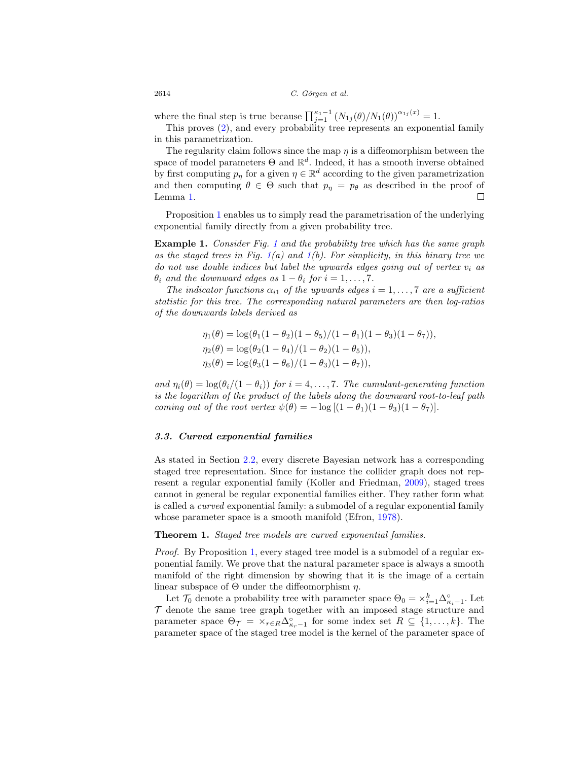where the final step is true because  $\prod_{j=1}^{\kappa_1-1} (N_{1j}(\theta)/N_1(\theta))^{\alpha_{1j}(x)} = 1.$ 

This proves [\(2\)](#page-5-2), and every probability tree represents an exponential family in this parametrization.

The regularity claim follows since the map  $\eta$  is a diffeomorphism between the space of model parameters  $\Theta$  and  $\mathbb{R}^d$ . Indeed, it has a smooth inverse obtained by first computing  $p_{\eta}$  for a given  $\eta \in \mathbb{R}^d$  according to the given parametrization and then computing  $\theta \in \Theta$  such that  $p_{\eta} = p_{\theta}$  as described in the proof of Lemma [1.](#page-4-0)  $\overline{\phantom{a}}$ 

Proposition [1](#page-5-0) enables us to simply read the parametrisation of the underlying exponential family directly from a given probability tree.

**Example [1](#page-2-0).** Consider Fig. 1 and the probability tree which has the same graph as the staged trees in Fig.  $1(a)$  $1(a)$  and  $1(b)$ . For simplicity, in this binary tree we do not use double indices but label the upwards edges going out of vertex  $v_i$  as  $\theta_i$  and the downward edges as  $1 - \theta_i$  for  $i = 1, \ldots, 7$ .

The indicator functions  $\alpha_{i1}$  of the upwards edges  $i = 1, \ldots, 7$  are a sufficient statistic for this tree. The corresponding natural parameters are then log-ratios of the downwards labels derived as

$$
\eta_1(\theta) = \log(\theta_1(1 - \theta_2)(1 - \theta_5)/(1 - \theta_1)(1 - \theta_3)(1 - \theta_7)),
$$
  
\n
$$
\eta_2(\theta) = \log(\theta_2(1 - \theta_4)/(1 - \theta_2)(1 - \theta_5)),
$$
  
\n
$$
\eta_3(\theta) = \log(\theta_3(1 - \theta_6)/(1 - \theta_3)(1 - \theta_7)),
$$

and  $\eta_i(\theta) = \log(\theta_i/(1 - \theta_i))$  for  $i = 4, \ldots, 7$ . The cumulant-generating function is the logarithm of the product of the labels along the downward root-to-leaf path coming out of the root vertex  $\psi(\theta) = -\log[(1 - \theta_1)(1 - \theta_3)(1 - \theta_7)].$ 

#### <span id="page-7-0"></span>*3.3. Curved exponential families*

As stated in Section [2.2,](#page-2-1) every discrete Bayesian network has a corresponding staged tree representation. Since for instance the collider graph does not represent a regular exponential family (Koller and Friedman, [2009](#page-13-4)), staged trees cannot in general be regular exponential families either. They rather form what is called a curved exponential family: a submodel of a regular exponential family whose parameter space is a smooth manifold (Efron, [1978](#page-12-7)).

<span id="page-7-1"></span>**Theorem 1.** Staged tree models are curved exponential families.

*Proof.* By Proposition [1,](#page-5-0) every staged tree model is a submodel of a regular exponential family. We prove that the natural parameter space is always a smooth manifold of the right dimension by showing that it is the image of a certain linear subspace of  $\Theta$  under the diffeomorphism  $\eta$ .

Let  $\mathcal{T}_0$  denote a probability tree with parameter space  $\Theta_0 = \times_{i=1}^k \Delta_{\kappa_i-1}^{\circ}$ . Let  $\mathcal T$  denote the same tree graph together with an imposed stage structure and parameter space  $\Theta_{\mathcal{T}} = \times_{r \in R} \Delta^{\circ}_{\kappa_r-1}$  for some index set  $R \subseteq \{1, \ldots, k\}$ . The parameter space of the staged tree model is the kernel of the parameter space of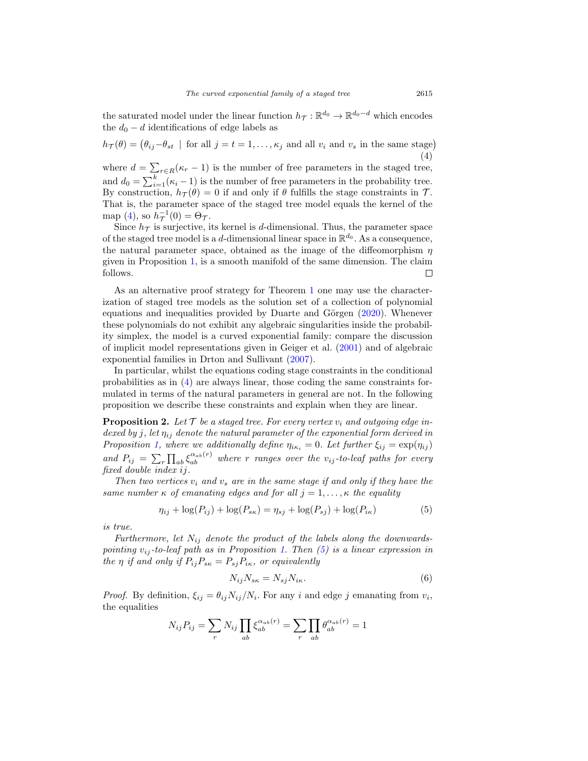the saturated model under the linear function  $h_{\mathcal{T}} : \mathbb{R}^{d_0} \to \mathbb{R}^{d_0-d}$  which encodes the  $d_0 - d$  identifications of edge labels as

<span id="page-8-0"></span> $h_{\mathcal{T}}(\theta) = (\theta_{ij} - \theta_{st} \mid \text{for all } j = t = 1, \dots, \kappa_j \text{ and all } v_i \text{ and } v_s \text{ in the same stage})$ (4)

where  $d = \sum_{r \in R} (\kappa_r - 1)$  is the number of free parameters in the staged tree, and  $d_0 = \sum_{i=1}^{k} (\kappa_i - 1)$  is the number of free parameters in the probability tree. By construction,  $h_{\mathcal{T}}(\theta) = 0$  if and only if  $\theta$  fulfills the stage constraints in  $\mathcal{T}$ . That is, the parameter space of the staged tree model equals the kernel of the map [\(4\)](#page-8-0), so  $h_{\mathcal{T}}^{-1}(0) = \Theta_{\mathcal{T}}$ .

Since  $h_{\mathcal{T}}$  is surjective, its kernel is d-dimensional. Thus, the parameter space of the staged tree model is a d-dimensional linear space in  $\mathbb{R}^{d_0}$ . As a consequence, the natural parameter space, obtained as the image of the diffeomorphism  $\eta$ given in Proposition [1,](#page-5-0) is a smooth manifold of the same dimension. The claim follows. П

As an alternative proof strategy for Theorem [1](#page-7-1) one may use the characterization of staged tree models as the solution set of a collection of polynomial equations and inequalities provided by Duarte and Görgen  $(2020)$  $(2020)$ . Whenever these polynomials do not exhibit any algebraic singularities inside the probability simplex, the model is a curved exponential family: compare the discussion of implicit model representations given in Geiger et al. [\(2001](#page-13-5)) and of algebraic exponential families in Drton and Sullivant [\(2007](#page-12-9)).

In particular, whilst the equations coding stage constraints in the conditional probabilities as in [\(4\)](#page-8-0) are always linear, those coding the same constraints formulated in terms of the natural parameters in general are not. In the following proposition we describe these constraints and explain when they are linear.

<span id="page-8-3"></span>**Proposition 2.** Let  $\mathcal T$  be a staged tree. For every vertex  $v_i$  and outgoing edge indexed by j, let  $\eta_{ij}$  denote the natural parameter of the exponential form derived in Proposition [1,](#page-5-0) where we additionally define  $\eta_{i\kappa_i} = 0$ . Let further  $\xi_{ij} = \exp(\eta_{ij})$ and  $P_{ij} = \sum_{r} \prod_{ab} \xi_{ab}^{a_{ab}(r)}$  where r ranges over the  $v_{ij}$ -to-leaf paths for every fixed double index ij.

Then two vertices  $v_i$  and  $v_s$  are in the same stage if and only if they have the same number  $\kappa$  of emanating edges and for all  $j = 1, \ldots, \kappa$  the equality

<span id="page-8-1"></span>
$$
\eta_{ij} + \log(P_{ij}) + \log(P_{sk}) = \eta_{sj} + \log(P_{sj}) + \log(P_{ik})
$$
\n(5)

is true.

Furthermore, let  $N_{ij}$  denote the product of the labels along the downwardspointing  $v_{ij}$ -to-leaf path as in Proposition [1.](#page-5-0) Then [\(5\)](#page-8-1) is a linear expression in the  $\eta$  if and only if  $P_{ij}P_{s\kappa} = P_{sj}P_{i\kappa}$ , or equivalently

<span id="page-8-2"></span>
$$
N_{ij}N_{s\kappa} = N_{sj}N_{i\kappa}.\tag{6}
$$

*Proof.* By definition,  $\xi_{ij} = \theta_{ij} N_{ij} / N_i$ . For any i and edge j emanating from  $v_i$ , the equalities

$$
N_{ij}P_{ij} = \sum_r N_{ij} \prod_{ab} \xi_{ab}^{\alpha_{ab}(r)} = \sum_r \prod_{ab} \theta_{ab}^{\alpha_{ab}(r)} = 1
$$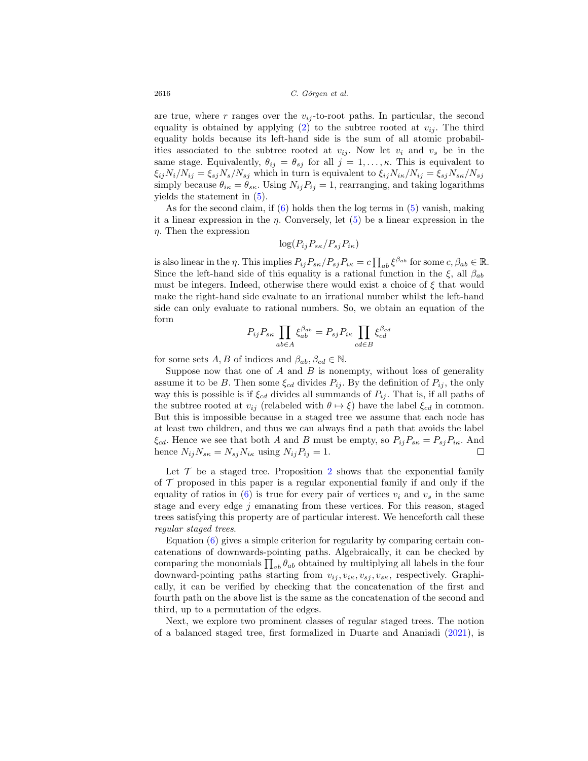are true, where r ranges over the  $v_{ij}$ -to-root paths. In particular, the second equality is obtained by applying [\(2\)](#page-5-2) to the subtree rooted at  $v_{ij}$ . The third equality holds because its left-hand side is the sum of all atomic probabilities associated to the subtree rooted at  $v_{ij}$ . Now let  $v_i$  and  $v_s$  be in the same stage. Equivalently,  $\theta_{ij} = \theta_{sj}$  for all  $j = 1, \ldots, \kappa$ . This is equivalent to  $\xi_{ij}N_i/N_{ij} = \xi_{sj}N_s/N_{sj}$  which in turn is equivalent to  $\xi_{ij}N_{ik}/N_{ij} = \xi_{sj}N_{sk}/N_{sj}$ simply because  $\theta_{i\kappa} = \theta_{s\kappa}$ . Using  $N_{ij}P_{ij} = 1$ , rearranging, and taking logarithms yields the statement in [\(5\)](#page-8-1).

As for the second claim, if  $(6)$  holds then the log terms in  $(5)$  vanish, making it a linear expression in the  $\eta$ . Conversely, let  $(5)$  be a linear expression in the  $\eta$ . Then the expression

$$
\log(P_{ij}P_{s\kappa}/P_{sj}P_{i\kappa})
$$

is also linear in the  $\eta$ . This implies  $P_{ij}P_{s\kappa}/P_{sj}P_{i\kappa} = c \prod_{ab} \xi^{\beta_{ab}}$  for some  $c, \beta_{ab} \in \mathbb{R}$ . Since the left-hand side of this equality is a rational function in the  $\xi$ , all  $\beta_{ab}$ must be integers. Indeed, otherwise there would exist a choice of  $\xi$  that would make the right-hand side evaluate to an irrational number whilst the left-hand side can only evaluate to rational numbers. So, we obtain an equation of the form

$$
P_{ij}P_{s\kappa}\prod_{ab\in A}\xi_{ab}^{\beta_{ab}}=P_{sj}P_{i\kappa}\prod_{cd\in B}\xi_{cd}^{\beta_{cd}}
$$

for some sets  $A, B$  of indices and  $\beta_{ab}, \beta_{cd} \in \mathbb{N}$ .

Suppose now that one of  $A$  and  $B$  is nonempty, without loss of generality assume it to be B. Then some  $\xi_{cd}$  divides  $P_{ij}$ . By the definition of  $P_{ij}$ , the only way this is possible is if  $\xi_{cd}$  divides all summands of  $P_{ij}$ . That is, if all paths of the subtree rooted at  $v_{ij}$  (relabeled with  $\theta \mapsto \xi$ ) have the label  $\xi_{cd}$  in common. But this is impossible because in a staged tree we assume that each node has at least two children, and thus we can always find a path that avoids the label  $\xi_{cd}$ . Hence we see that both A and B must be empty, so  $P_{ij}P_{s\kappa} = P_{sj}P_{i\kappa}$ . And hence  $N_{ij}N_{s\kappa} = N_{sj}N_{i\kappa}$  using  $N_{ij}P_{ij} = 1$ .  $\Box$ 

Let  $\mathcal T$  be a staged tree. Proposition [2](#page-8-3) shows that the exponential family of  $\mathcal T$  proposed in this paper is a regular exponential family if and only if the equality of ratios in [\(6\)](#page-8-2) is true for every pair of vertices  $v_i$  and  $v_s$  in the same stage and every edge  $j$  emanating from these vertices. For this reason, staged trees satisfying this property are of particular interest. We henceforth call these regular staged trees.

Equation [\(6\)](#page-8-2) gives a simple criterion for regularity by comparing certain concatenations of downwards-pointing paths. Algebraically, it can be checked by comparing the monomials  $\prod_{ab} \theta_{ab}$  obtained by multiplying all labels in the four downward-pointing paths starting from  $v_{ij}, v_{ik}, v_{si}, v_{sk}$ , respectively. Graphically, it can be verified by checking that the concatenation of the first and fourth path on the above list is the same as the concatenation of the second and third, up to a permutation of the edges.

Next, we explore two prominent classes of regular staged trees. The notion of a balanced staged tree, first formalized in Duarte and Ananiadi [\(2021\)](#page-12-10), is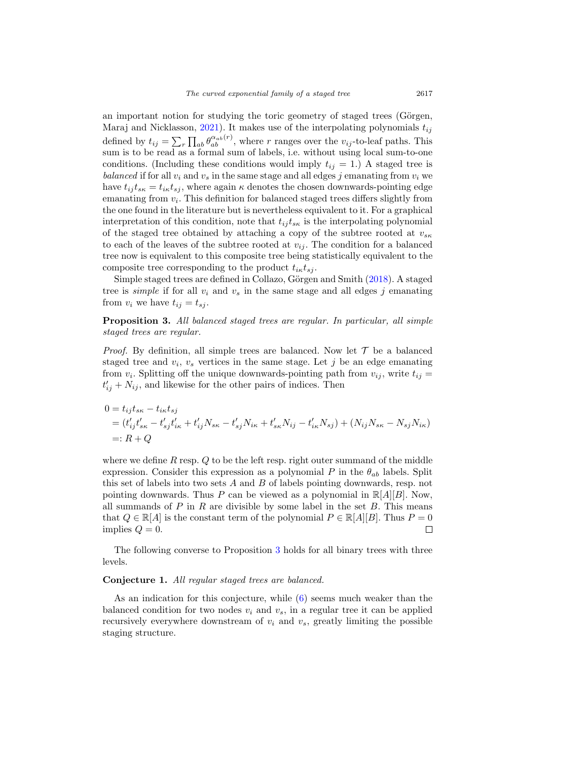an important notion for studying the toric geometry of staged trees (Görgen, Maraj and Nicklasson, [2021](#page-13-13)). It makes use of the interpolating polynomials  $t_{ij}$ defined by  $t_{ij} = \sum_{r} \prod_{ab} \theta_{ab}^{\alpha_{ab}(r)}$ , where r ranges over the  $v_{ij}$ -to-leaf paths. This sum is to be read as a formal sum of labels, i.e. without using local sum-to-one conditions. (Including these conditions would imply  $t_{ij} = 1$ .) A staged tree is balanced if for all  $v_i$  and  $v_s$  in the same stage and all edges j emanating from  $v_i$  we have  $t_{ij} t_{s\kappa} = t_{i\kappa} t_{sj}$ , where again  $\kappa$  denotes the chosen downwards-pointing edge emanating from  $v_i$ . This definition for balanced staged trees differs slightly from the one found in the literature but is nevertheless equivalent to it. For a graphical interpretation of this condition, note that  $t_{ij} t_{sk}$  is the interpolating polynomial of the staged tree obtained by attaching a copy of the subtree rooted at  $v_{s\kappa}$ to each of the leaves of the subtree rooted at  $v_{ij}$ . The condition for a balanced tree now is equivalent to this composite tree being statistically equivalent to the composite tree corresponding to the product  $t_{i\kappa}t_{sj}$ .

Simple staged trees are defined in Collazo, Görgen and Smith [\(2018](#page-12-0)). A staged tree is *simple* if for all  $v_i$  and  $v_s$  in the same stage and all edges j emanating from  $v_i$  we have  $t_{ij} = t_{sj}$ .

<span id="page-10-0"></span>**Proposition 3.** All balanced staged trees are regular. In particular, all simple staged trees are regular.

*Proof.* By definition, all simple trees are balanced. Now let  $\mathcal T$  be a balanced staged tree and  $v_i$ ,  $v_s$  vertices in the same stage. Let j be an edge emanating from  $v_i$ . Splitting off the unique downwards-pointing path from  $v_{ij}$ , write  $t_{ij}$  =  $t'_{ij} + N_{ij}$ , and likewise for the other pairs of indices. Then

$$
0 = t_{ij}t_{sk} - t_{ik}t_{sj}
$$
  
=  $(t'_{ij}t'_{sk} - t'_{sj}t'_{ik} + t'_{ij}N_{sk} - t'_{sj}N_{ik} + t'_{sk}N_{ij} - t'_{ik}N_{sj}) + (N_{ij}N_{sk} - N_{sj}N_{ik})$   
=:  $R + Q$ 

where we define  $R$  resp.  $Q$  to be the left resp. right outer summand of the middle expression. Consider this expression as a polynomial P in the  $\theta_{ab}$  labels. Split this set of labels into two sets A and B of labels pointing downwards, resp. not pointing downwards. Thus P can be viewed as a polynomial in  $\mathbb{R}[A||B]$ . Now, all summands of  $P$  in  $R$  are divisible by some label in the set  $B$ . This means that  $Q \in \mathbb{R}[A]$  is the constant term of the polynomial  $P \in \mathbb{R}[A][B]$ . Thus  $P = 0$ implies  $Q=0$ . □

The following converse to Proposition [3](#page-10-0) holds for all binary trees with three levels.

#### **Conjecture 1.** All regular staged trees are balanced.

As an indication for this conjecture, while [\(6\)](#page-8-2) seems much weaker than the balanced condition for two nodes  $v_i$  and  $v_s$ , in a regular tree it can be applied recursively everywhere downstream of  $v_i$  and  $v_s$ , greatly limiting the possible staging structure.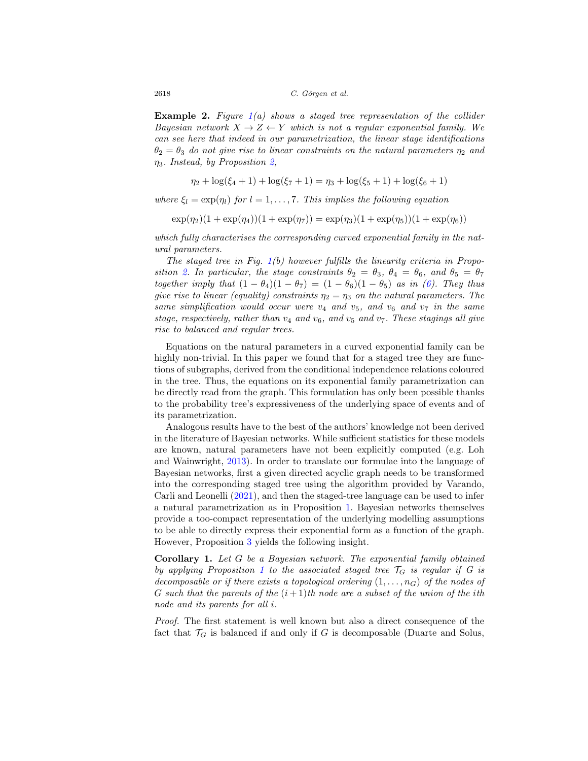**Example 2.** Figure [1\(](#page-2-0)a) shows a staged tree representation of the collider Bayesian network  $X \to Z \leftarrow Y$  which is not a regular exponential family. We can see here that indeed in our parametrization, the linear stage identifications  $\theta_2 = \theta_3$  do not give rise to linear constraints on the natural parameters  $\eta_2$  and  $\eta_3$ . Instead, by Proposition [2,](#page-8-3)

$$
\eta_2 + \log(\xi_4 + 1) + \log(\xi_7 + 1) = \eta_3 + \log(\xi_5 + 1) + \log(\xi_6 + 1)
$$

where  $\xi_l = \exp(\eta_l)$  for  $l = 1, ..., 7$ . This implies the following equation

$$
\exp(\eta_2)(1+\exp(\eta_4))(1+\exp(\eta_7))=\exp(\eta_3)(1+\exp(\eta_5))(1+\exp(\eta_6))
$$

which fully characterises the corresponding curved exponential family in the natural parameters.

The staged tree in Fig.  $1(b)$  $1(b)$  however fulfills the linearity criteria in Propo-sition [2.](#page-8-3) In particular, the stage constraints  $\theta_2 = \theta_3$ ,  $\theta_4 = \theta_6$ , and  $\theta_5 = \theta_7$ together imply that  $(1 - \theta_4)(1 - \theta_7) = (1 - \theta_6)(1 - \theta_5)$  as in [\(6\)](#page-8-2). They thus give rise to linear (equality) constraints  $\eta_2 = \eta_3$  on the natural parameters. The same simplification would occur were  $v_4$  and  $v_5$ , and  $v_6$  and  $v_7$  in the same stage, respectively, rather than  $v_4$  and  $v_6$ , and  $v_5$  and  $v_7$ . These stagings all give rise to balanced and regular trees.

Equations on the natural parameters in a curved exponential family can be highly non-trivial. In this paper we found that for a staged tree they are functions of subgraphs, derived from the conditional independence relations coloured in the tree. Thus, the equations on its exponential family parametrization can be directly read from the graph. This formulation has only been possible thanks to the probability tree's expressiveness of the underlying space of events and of its parametrization.

Analogous results have to the best of the authors' knowledge not been derived in the literature of Bayesian networks. While sufficient statistics for these models are known, natural parameters have not been explicitly computed (e.g. Loh and Wainwright, [2013](#page-13-14)). In order to translate our formulae into the language of Bayesian networks, first a given directed acyclic graph needs to be transformed into the corresponding staged tree using the algorithm provided by Varando, Carli and Leonelli [\(2021\)](#page-13-11), and then the staged-tree language can be used to infer a natural parametrization as in Proposition [1.](#page-5-0) Bayesian networks themselves provide a too-compact representation of the underlying modelling assumptions to be able to directly express their exponential form as a function of the graph. However, Proposition [3](#page-10-0) yields the following insight.

**Corollary 1.** Let G be a Bayesian network. The exponential family obtained by applying Proposition [1](#page-5-0) to the associated staged tree  $\mathcal{T}_G$  is regular if G is decomposable or if there exists a topological ordering  $(1,\ldots,n_G)$  of the nodes of G such that the parents of the  $(i+1)$ th node are a subset of the union of the ith node and its parents for all i.

Proof. The first statement is well known but also a direct consequence of the fact that  $\mathcal{T}_G$  is balanced if and only if G is decomposable (Duarte and Solus,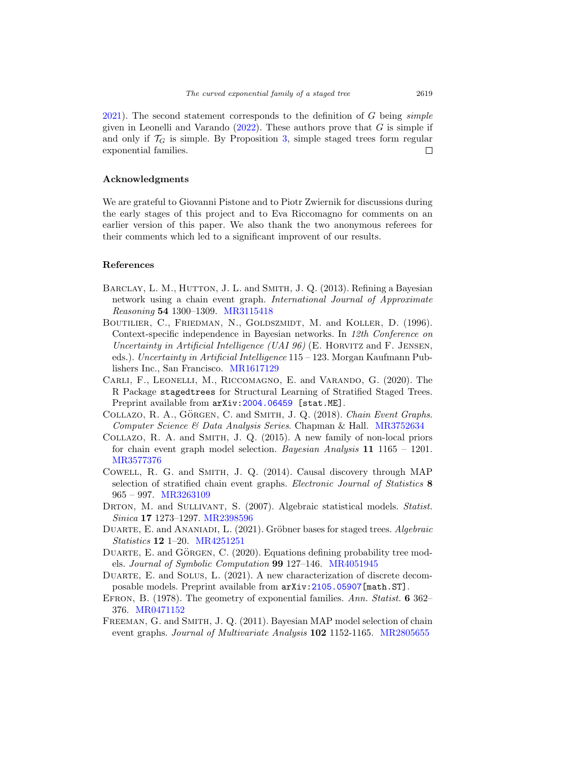$2021$ . The second statement corresponds to the definition of G being *simple* given in Leonelli and Varando  $(2022)$ . These authors prove that G is simple if and only if  $\mathcal{T}_G$  is simple. By Proposition [3,](#page-10-0) simple staged trees form regular exponential families. 口

## **Acknowledgments**

We are grateful to Giovanni Pistone and to Piotr Zwiernik for discussions during the early stages of this project and to Eva Riccomagno for comments on an earlier version of this paper. We also thank the two anonymous referees for their comments which led to a significant improvent of our results.

#### **References**

- <span id="page-12-1"></span>BARCLAY, L. M., HUTTON, J. L. and SMITH, J. Q. (2013). Refining a Bayesian network using a chain event graph. International Journal of Approximate Reasoning **54** 1300–1309. [MR3115418](https://www.ams.org/mathscinet-getitem?mr=3115418)
- <span id="page-12-6"></span>BOUTILIER, C., FRIEDMAN, N., GOLDSZMIDT, M. and KOLLER, D. (1996). Context-specific independence in Bayesian networks. In 12th Conference on Uncertainty in Artificial Intelligence (UAI 96) (E. HORVITZ and F. JENSEN, eds.). Uncertainty in Artificial Intelligence 115 – 123. Morgan Kaufmann Publishers Inc., San Francisco. [MR1617129](https://www.ams.org/mathscinet-getitem?mr=1617129)
- <span id="page-12-3"></span>Carli, F., Leonelli, M., Riccomagno, E. and Varando, G. (2020). The R Package stagedtrees for Structural Learning of Stratified Staged Trees. Preprint available from  $arXiv:2004.06459$  $arXiv:2004.06459$  [stat.ME].
- <span id="page-12-0"></span>COLLAZO, R. A., GÖRGEN, C. and SMITH, J. Q. (2018). Chain Event Graphs. Computer Science & Data Analysis Series. Chapman & Hall. [MR3752634](https://www.ams.org/mathscinet-getitem?mr=3752634)
- <span id="page-12-2"></span>Collazo, R. A. and Smith, J. Q. (2015). A new family of non-local priors for chain event graph model selection. Bayesian Analysis **11** 1165 – 1201. [MR3577376](https://www.ams.org/mathscinet-getitem?mr=3577376)
- <span id="page-12-5"></span>Cowell, R. G. and Smith, J. Q. (2014). Causal discovery through MAP selection of stratified chain event graphs. Electronic Journal of Statistics **8** 965 – 997. [MR3263109](https://www.ams.org/mathscinet-getitem?mr=3263109)
- <span id="page-12-9"></span>DRTON, M. and SULLIVANT, S. (2007). Algebraic statistical models. Statist. Sinica **17** 1273–1297. [MR2398596](https://www.ams.org/mathscinet-getitem?mr=2398596)
- <span id="page-12-10"></span>DUARTE, E. and ANANIADI, L. (2021). Gröbner bases for staged trees. Algebraic Statistics **12** 1–20. [MR4251251](https://www.ams.org/mathscinet-getitem?mr=4251251)
- <span id="page-12-8"></span>DUARTE, E. and GÖRGEN, C. (2020). Equations defining probability tree models. Journal of Symbolic Computation **99** 127–146. [MR4051945](https://www.ams.org/mathscinet-getitem?mr=4051945)
- <span id="page-12-11"></span>DUARTE, E. and SOLUS, L. (2021). A new characterization of discrete decomposable models. Preprint available from arXiv[:2105.05907\[](https://arxiv.org/abs/2105.05907)math.ST].
- <span id="page-12-7"></span>Efron, B. (1978). The geometry of exponential families. Ann. Statist. **6** 362– 376. [MR0471152](https://www.ams.org/mathscinet-getitem?mr=0471152)
- <span id="page-12-4"></span>Freeman, G. and Smith, J. Q. (2011). Bayesian MAP model selection of chain event graphs. Journal of Multivariate Analysis **102** 1152-1165. [MR2805655](https://www.ams.org/mathscinet-getitem?mr=2805655)